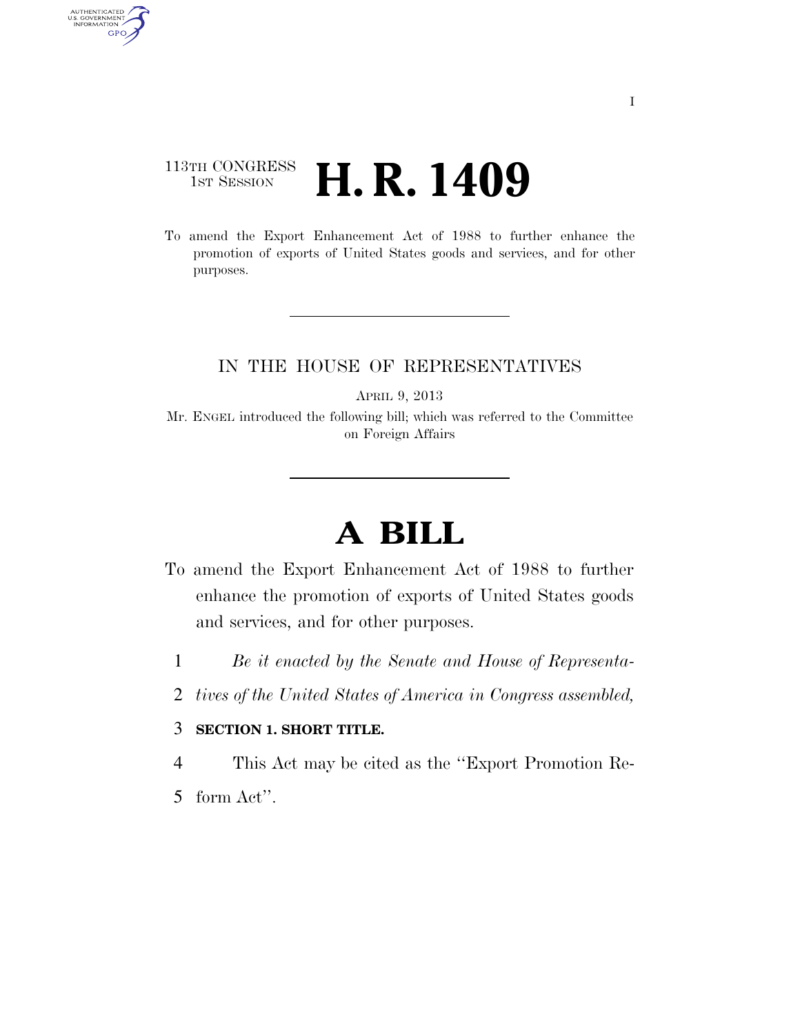## 113TH CONGRESS **1st Session H. R. 1409**

AUTHENTICATED<br>U.S. GOVERNMENT<br>INFORMATION GPO

> To amend the Export Enhancement Act of 1988 to further enhance the promotion of exports of United States goods and services, and for other purposes.

### IN THE HOUSE OF REPRESENTATIVES

APRIL 9, 2013

Mr. ENGEL introduced the following bill; which was referred to the Committee on Foreign Affairs

# **A BILL**

- To amend the Export Enhancement Act of 1988 to further enhance the promotion of exports of United States goods and services, and for other purposes.
	- 1 *Be it enacted by the Senate and House of Representa-*
	- 2 *tives of the United States of America in Congress assembled,*

### 3 **SECTION 1. SHORT TITLE.**

4 This Act may be cited as the ''Export Promotion Re-

5 form Act''.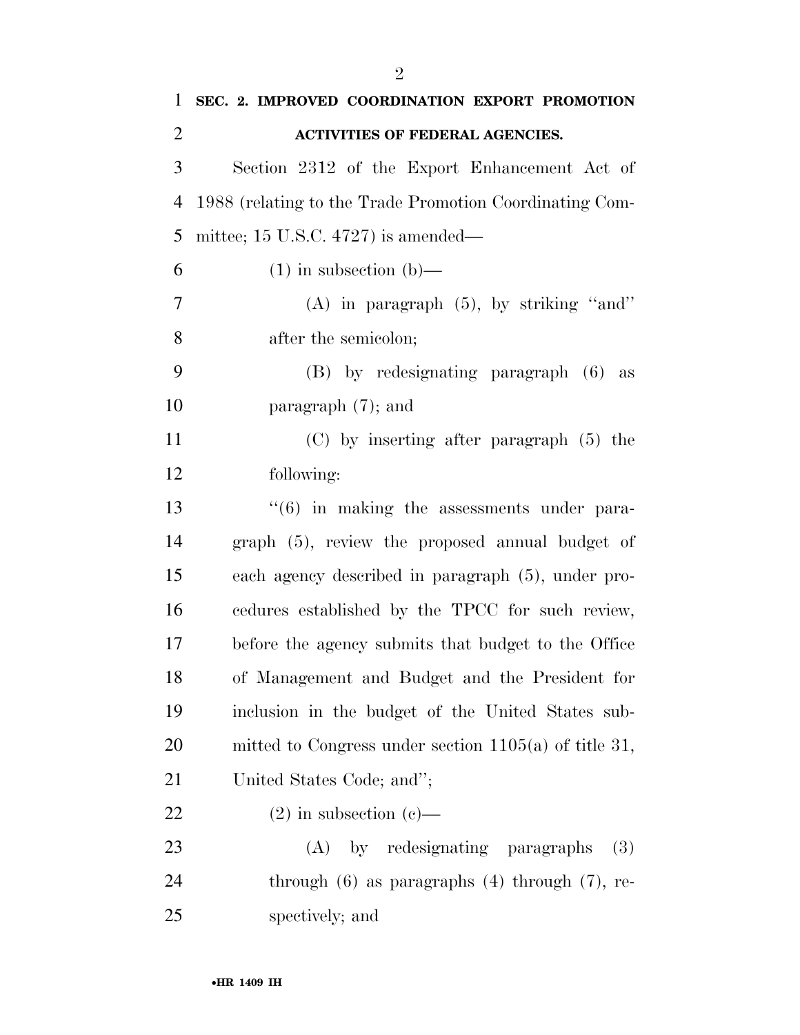| 1              | SEC. 2. IMPROVED COORDINATION EXPORT PROMOTION             |
|----------------|------------------------------------------------------------|
| $\overline{2}$ | <b>ACTIVITIES OF FEDERAL AGENCIES.</b>                     |
| 3              | Section 2312 of the Export Enhancement Act of              |
| $\overline{4}$ | 1988 (relating to the Trade Promotion Coordinating Com-    |
| 5              | mittee; 15 U.S.C. 4727) is amended—                        |
| 6              | $(1)$ in subsection $(b)$ —                                |
| 7              | $(A)$ in paragraph $(5)$ , by striking "and"               |
| 8              | after the semicolon;                                       |
| 9              | $(B)$ by redesignating paragraph $(6)$<br>as               |
| 10             | paragraph $(7)$ ; and                                      |
| 11             | $(C)$ by inserting after paragraph $(5)$ the               |
| 12             | following:                                                 |
| 13             | $\cdot\cdot\cdot(6)$ in making the assessments under para- |
| 14             | graph (5), review the proposed annual budget of            |
| 15             | each agency described in paragraph (5), under pro-         |
| 16             | cedures established by the TPCC for such review,           |
| 17             | before the agency submits that budget to the Office        |
| 18             | of Management and Budget and the President for             |
| 19             | inclusion in the budget of the United States sub-          |
| 20             | mitted to Congress under section $1105(a)$ of title 31,    |
| 21             | United States Code; and";                                  |
| 22             | $(2)$ in subsection $(e)$ —                                |
| 23             | (A) by redesignating paragraphs<br><b>(3)</b>              |
| 24             | through $(6)$ as paragraphs $(4)$ through $(7)$ , re-      |
| 25             | spectively; and                                            |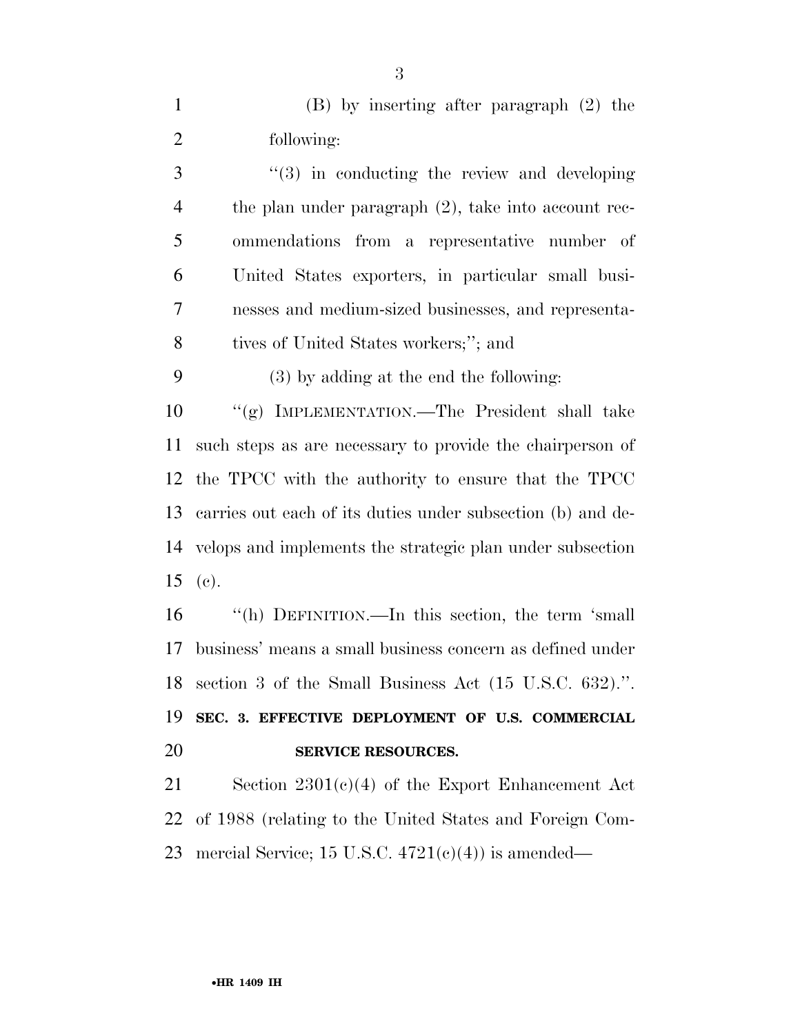(B) by inserting after paragraph (2) the following:

3 "(3) in conducting the review and developing the plan under paragraph (2), take into account rec- ommendations from a representative number of United States exporters, in particular small busi- nesses and medium-sized businesses, and representa-tives of United States workers;''; and

(3) by adding at the end the following:

 ''(g) IMPLEMENTATION.—The President shall take such steps as are necessary to provide the chairperson of the TPCC with the authority to ensure that the TPCC carries out each of its duties under subsection (b) and de- velops and implements the strategic plan under subsection 15 (c).

 ''(h) DEFINITION.—In this section, the term 'small business' means a small business concern as defined under section 3 of the Small Business Act (15 U.S.C. 632).''. **SEC. 3. EFFECTIVE DEPLOYMENT OF U.S. COMMERCIAL** 

#### **SERVICE RESOURCES.**

 Section 2301(c)(4) of the Export Enhancement Act of 1988 (relating to the United States and Foreign Com-23 mercial Service; 15 U.S.C.  $4721(e)(4)$  is amended—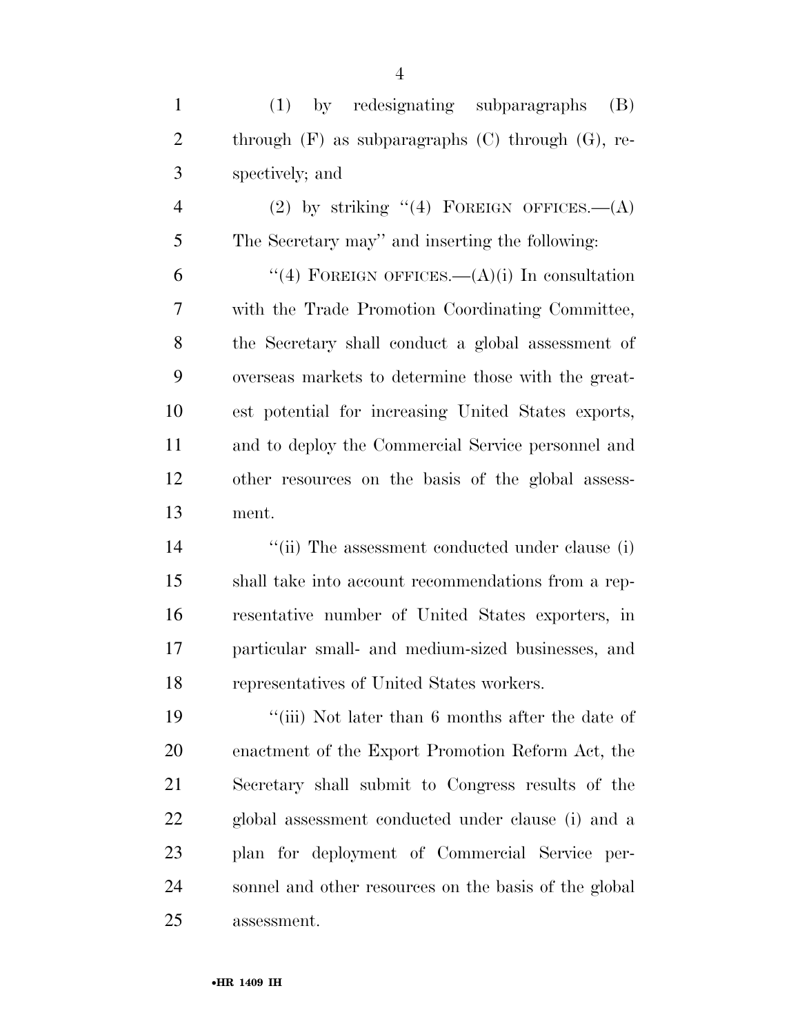(1) by redesignating subparagraphs (B) 2 through (F) as subparagraphs (C) through (G), re-spectively; and

4 (2) by striking  $(4)$  FOREIGN OFFICES.  $-(A)$ The Secretary may'' and inserting the following:

6 "(4) FOREIGN OFFICES.— $(A)(i)$  In consultation with the Trade Promotion Coordinating Committee, the Secretary shall conduct a global assessment of overseas markets to determine those with the great- est potential for increasing United States exports, and to deploy the Commercial Service personnel and other resources on the basis of the global assess-ment.

14 ''(ii) The assessment conducted under clause (i) shall take into account recommendations from a rep- resentative number of United States exporters, in particular small- and medium-sized businesses, and representatives of United States workers.

 ''(iii) Not later than 6 months after the date of enactment of the Export Promotion Reform Act, the Secretary shall submit to Congress results of the global assessment conducted under clause (i) and a plan for deployment of Commercial Service per- sonnel and other resources on the basis of the global assessment.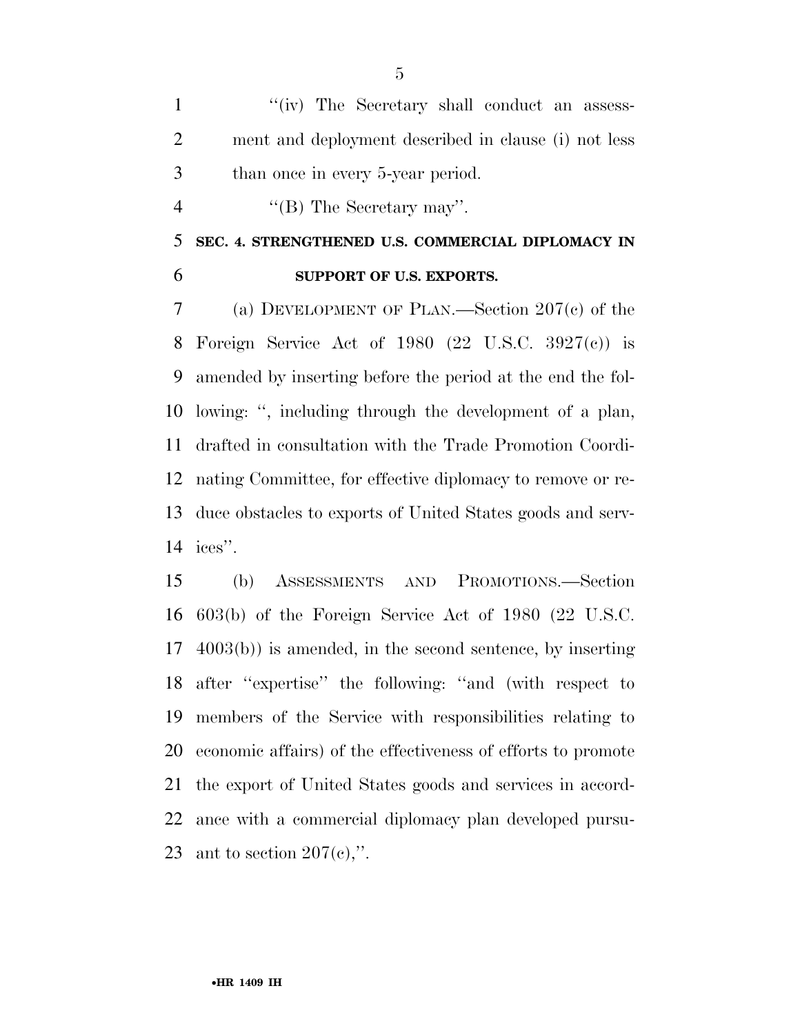1 ''(iv) The Secretary shall conduct an assess- ment and deployment described in clause (i) not less than once in every 5-year period.

4 ''(B) The Secretary may".

 **SEC. 4. STRENGTHENED U.S. COMMERCIAL DIPLOMACY IN SUPPORT OF U.S. EXPORTS.** 

 (a) DEVELOPMENT OF PLAN.—Section 207(c) of the Foreign Service Act of 1980 (22 U.S.C. 3927(c)) is amended by inserting before the period at the end the fol- lowing: '', including through the development of a plan, drafted in consultation with the Trade Promotion Coordi- nating Committee, for effective diplomacy to remove or re- duce obstacles to exports of United States goods and serv-ices''.

 (b) ASSESSMENTS AND PROMOTIONS.—Section 603(b) of the Foreign Service Act of 1980 (22 U.S.C. 4003(b)) is amended, in the second sentence, by inserting after ''expertise'' the following: ''and (with respect to members of the Service with responsibilities relating to economic affairs) of the effectiveness of efforts to promote the export of United States goods and services in accord- ance with a commercial diplomacy plan developed pursu-23 ant to section  $207(e)$ ,".